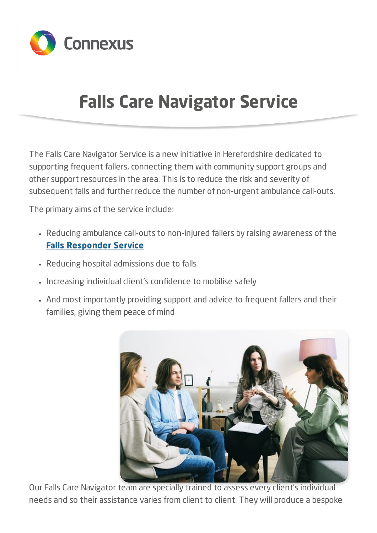

## **Falls Care Navigator Service**

The Falls Care Navigator Service is a new initiative in Herefordshire dedicated to supporting frequent fallers, connecting them with community support groups and other support resources in the area. This is to reduce the risk and severity of subsequent falls and further reduce the number of non-urgent ambulance call-outs.

The primary aims of the service include:

- Reducing ambulance call-outs to non-injured fallers by raising awareness of the **Falls [Responder](https://connexus-group.co.uk/falls-responder-service) Service**
- Reducing hospital admissions due to falls
- Increasing individual client's confidence to mobilise safely
- And most importantly providing support and advice to frequent fallers and their families, giving them peace of mind



Our Falls Care Navigator team are specially trained to assess every client's individual needs and so their assistance varies from client to client. They will produce a bespoke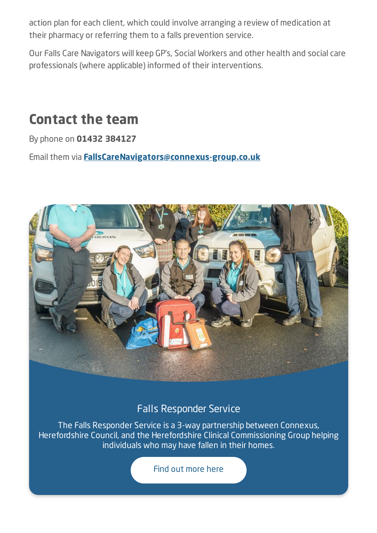action plan for each client, which could involve arranging a review of medication at their pharmacy or referring them to a falls prevention service.

Our Falls Care Navigators will keep GP's, Social Workers and other health and social care professionals (where applicable) informed of their interventions.

## **Contact the team**

By phone on **01432 384127**

Email them via **[FallsCareNavigators@connexus-group.co.uk](mailto:FallsCareNavigators@connexus-group.co.uk)**



## Falls Responder Service

The Falls Responder Service is a 3-way partnership between Connexus, Herefordshire Council, and the Herefordshire Clinical Commissioning Group helping individuals who may have fallen in their homes.

Find out [more](https://connexus-group.co.uk/falls-responder-service) here